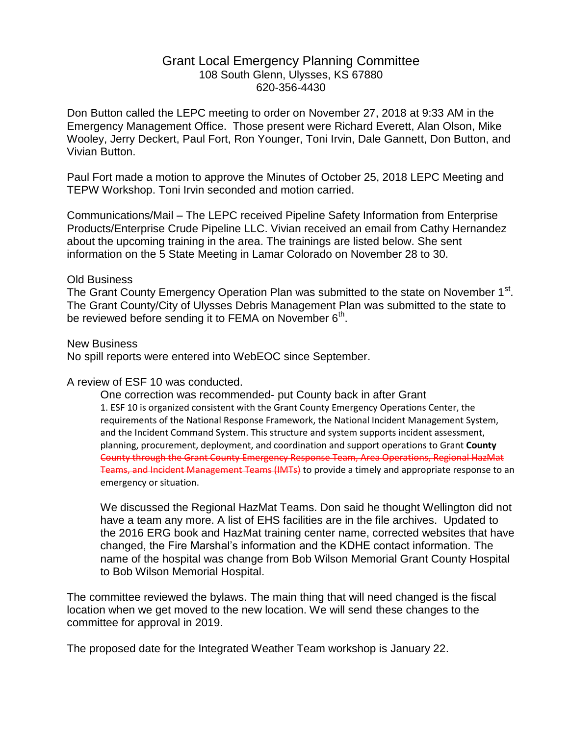## Grant Local Emergency Planning Committee 108 South Glenn, Ulysses, KS 67880 620-356-4430

Don Button called the LEPC meeting to order on November 27, 2018 at 9:33 AM in the Emergency Management Office. Those present were Richard Everett, Alan Olson, Mike Wooley, Jerry Deckert, Paul Fort, Ron Younger, Toni Irvin, Dale Gannett, Don Button, and Vivian Button.

Paul Fort made a motion to approve the Minutes of October 25, 2018 LEPC Meeting and TEPW Workshop. Toni Irvin seconded and motion carried.

Communications/Mail – The LEPC received Pipeline Safety Information from Enterprise Products/Enterprise Crude Pipeline LLC. Vivian received an email from Cathy Hernandez about the upcoming training in the area. The trainings are listed below. She sent information on the 5 State Meeting in Lamar Colorado on November 28 to 30.

#### Old Business

The Grant County Emergency Operation Plan was submitted to the state on November 1<sup>st</sup>. The Grant County/City of Ulysses Debris Management Plan was submitted to the state to be reviewed before sending it to FEMA on November 6<sup>th</sup>.

#### New Business

No spill reports were entered into WebEOC since September.

### A review of ESF 10 was conducted.

One correction was recommended- put County back in after Grant 1. ESF 10 is organized consistent with the Grant County Emergency Operations Center, the requirements of the National Response Framework, the National Incident Management System, and the Incident Command System. This structure and system supports incident assessment, planning, procurement, deployment, and coordination and support operations to Grant **County** County through the Grant County Emergency Response Team, Area Operations, Regional HazMat Teams, and Incident Management Teams (IMTs) to provide a timely and appropriate response to an emergency or situation.

We discussed the Regional HazMat Teams. Don said he thought Wellington did not have a team any more. A list of EHS facilities are in the file archives. Updated to the 2016 ERG book and HazMat training center name, corrected websites that have changed, the Fire Marshal's information and the KDHE contact information. The name of the hospital was change from Bob Wilson Memorial Grant County Hospital to Bob Wilson Memorial Hospital.

The committee reviewed the bylaws. The main thing that will need changed is the fiscal location when we get moved to the new location. We will send these changes to the committee for approval in 2019.

The proposed date for the Integrated Weather Team workshop is January 22.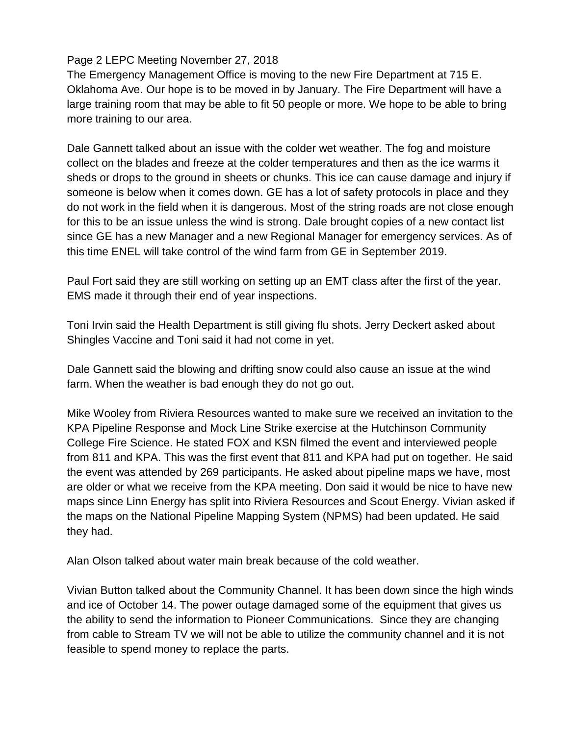# Page 2 LEPC Meeting November 27, 2018

The Emergency Management Office is moving to the new Fire Department at 715 E. Oklahoma Ave. Our hope is to be moved in by January. The Fire Department will have a large training room that may be able to fit 50 people or more. We hope to be able to bring more training to our area.

Dale Gannett talked about an issue with the colder wet weather. The fog and moisture collect on the blades and freeze at the colder temperatures and then as the ice warms it sheds or drops to the ground in sheets or chunks. This ice can cause damage and injury if someone is below when it comes down. GE has a lot of safety protocols in place and they do not work in the field when it is dangerous. Most of the string roads are not close enough for this to be an issue unless the wind is strong. Dale brought copies of a new contact list since GE has a new Manager and a new Regional Manager for emergency services. As of this time ENEL will take control of the wind farm from GE in September 2019.

Paul Fort said they are still working on setting up an EMT class after the first of the year. EMS made it through their end of year inspections.

Toni Irvin said the Health Department is still giving flu shots. Jerry Deckert asked about Shingles Vaccine and Toni said it had not come in yet.

Dale Gannett said the blowing and drifting snow could also cause an issue at the wind farm. When the weather is bad enough they do not go out.

Mike Wooley from Riviera Resources wanted to make sure we received an invitation to the KPA Pipeline Response and Mock Line Strike exercise at the Hutchinson Community College Fire Science. He stated FOX and KSN filmed the event and interviewed people from 811 and KPA. This was the first event that 811 and KPA had put on together. He said the event was attended by 269 participants. He asked about pipeline maps we have, most are older or what we receive from the KPA meeting. Don said it would be nice to have new maps since Linn Energy has split into Riviera Resources and Scout Energy. Vivian asked if the maps on the National Pipeline Mapping System (NPMS) had been updated. He said they had.

Alan Olson talked about water main break because of the cold weather.

Vivian Button talked about the Community Channel. It has been down since the high winds and ice of October 14. The power outage damaged some of the equipment that gives us the ability to send the information to Pioneer Communications. Since they are changing from cable to Stream TV we will not be able to utilize the community channel and it is not feasible to spend money to replace the parts.